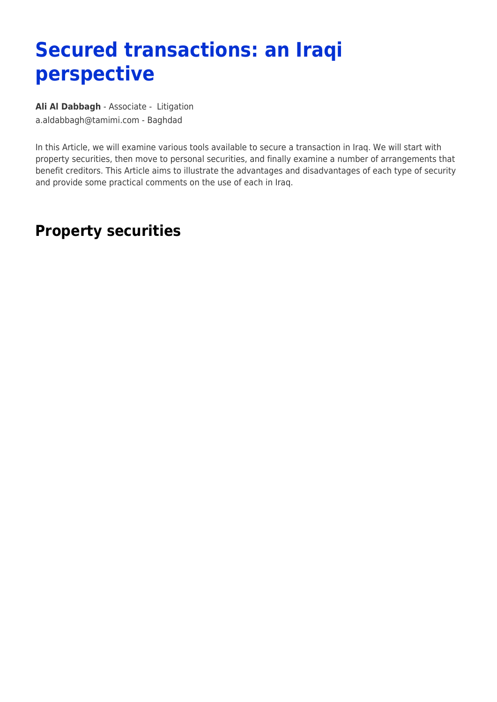## **Secured transactions: an Iraqi perspective**

**[Ali Al Dabbagh](https://www.tamimi.com/find-a-lawyer/ali-al-dabbagh/)** - Associate - [Litigation](https://www.tamimi.com/client-services/practices/litigation/) [a.aldabbagh@tamimi.com](mailto:a.aldabbagh@tamimi.com) - [Baghdad](https://www.tamimi.com/locations/iraq/)

In this Article, we will examine various tools available to secure a transaction in Iraq. We will start with property securities, then move to personal securities, and finally examine a number of arrangements that benefit creditors. This Article aims to illustrate the advantages and disadvantages of each type of security and provide some practical comments on the use of each in Iraq.

## **Property securities**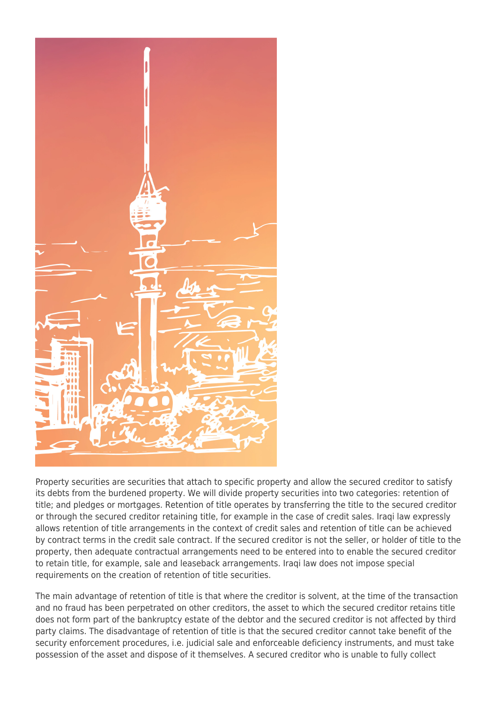

Property securities are securities that attach to specific property and allow the secured creditor to satisfy its debts from the burdened property. We will divide property securities into two categories: retention of title; and pledges or mortgages. Retention of title operates by transferring the title to the secured creditor or through the secured creditor retaining title, for example in the case of credit sales. Iraqi law expressly allows retention of title arrangements in the context of credit sales and retention of title can be achieved by contract terms in the credit sale contract. If the secured creditor is not the seller, or holder of title to the property, then adequate contractual arrangements need to be entered into to enable the secured creditor to retain title, for example, sale and leaseback arrangements. Iraqi law does not impose special requirements on the creation of retention of title securities.

The main advantage of retention of title is that where the creditor is solvent, at the time of the transaction and no fraud has been perpetrated on other creditors, the asset to which the secured creditor retains title does not form part of the bankruptcy estate of the debtor and the secured creditor is not affected by third party claims. The disadvantage of retention of title is that the secured creditor cannot take benefit of the security enforcement procedures, i.e. judicial sale and enforceable deficiency instruments, and must take possession of the asset and dispose of it themselves. A secured creditor who is unable to fully collect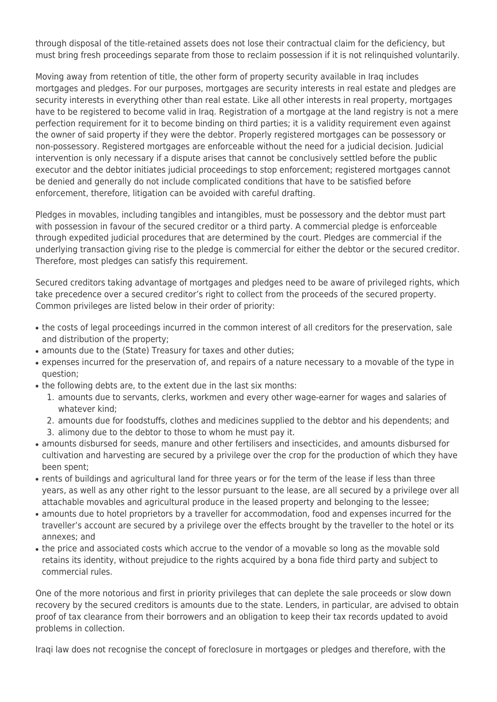through disposal of the title-retained assets does not lose their contractual claim for the deficiency, but must bring fresh proceedings separate from those to reclaim possession if it is not relinquished voluntarily.

Moving away from retention of title, the other form of property security available in Iraq includes mortgages and pledges. For our purposes, mortgages are security interests in real estate and pledges are security interests in everything other than real estate. Like all other interests in real property, mortgages have to be registered to become valid in Iraq. Registration of a mortgage at the land registry is not a mere perfection requirement for it to become binding on third parties; it is a validity requirement even against the owner of said property if they were the debtor. Properly registered mortgages can be possessory or non-possessory. Registered mortgages are enforceable without the need for a judicial decision. Judicial intervention is only necessary if a dispute arises that cannot be conclusively settled before the public executor and the debtor initiates judicial proceedings to stop enforcement; registered mortgages cannot be denied and generally do not include complicated conditions that have to be satisfied before enforcement, therefore, litigation can be avoided with careful drafting.

Pledges in movables, including tangibles and intangibles, must be possessory and the debtor must part with possession in favour of the secured creditor or a third party. A commercial pledge is enforceable through expedited judicial procedures that are determined by the court. Pledges are commercial if the underlying transaction giving rise to the pledge is commercial for either the debtor or the secured creditor. Therefore, most pledges can satisfy this requirement.

Secured creditors taking advantage of mortgages and pledges need to be aware of privileged rights, which take precedence over a secured creditor's right to collect from the proceeds of the secured property. Common privileges are listed below in their order of priority:

- the costs of legal proceedings incurred in the common interest of all creditors for the preservation, sale and distribution of the property;
- amounts due to the (State) Treasury for taxes and other duties;
- expenses incurred for the preservation of, and repairs of a nature necessary to a movable of the type in question;
- the following debts are, to the extent due in the last six months:
	- 1. amounts due to servants, clerks, workmen and every other wage-earner for wages and salaries of whatever kind;
	- 2. amounts due for foodstuffs, clothes and medicines supplied to the debtor and his dependents; and
	- 3. alimony due to the debtor to those to whom he must pay it.
- amounts disbursed for seeds, manure and other fertilisers and insecticides, and amounts disbursed for cultivation and harvesting are secured by a privilege over the crop for the production of which they have been spent;
- rents of buildings and agricultural land for three years or for the term of the lease if less than three years, as well as any other right to the lessor pursuant to the lease, are all secured by a privilege over all attachable movables and agricultural produce in the leased property and belonging to the lessee;
- amounts due to hotel proprietors by a traveller for accommodation, food and expenses incurred for the traveller's account are secured by a privilege over the effects brought by the traveller to the hotel or its annexes; and
- the price and associated costs which accrue to the vendor of a movable so long as the movable sold retains its identity, without prejudice to the rights acquired by a bona fide third party and subject to commercial rules.

One of the more notorious and first in priority privileges that can deplete the sale proceeds or slow down recovery by the secured creditors is amounts due to the state. Lenders, in particular, are advised to obtain proof of tax clearance from their borrowers and an obligation to keep their tax records updated to avoid problems in collection.

Iraqi law does not recognise the concept of foreclosure in mortgages or pledges and therefore, with the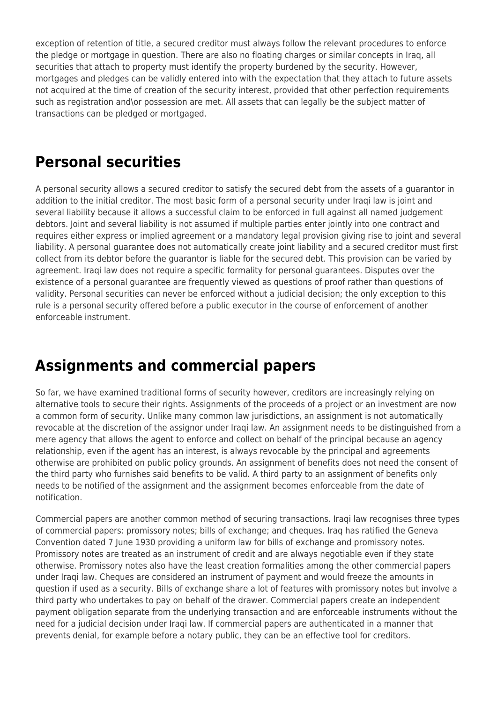exception of retention of title, a secured creditor must always follow the relevant procedures to enforce the pledge or mortgage in question. There are also no floating charges or similar concepts in Iraq, all securities that attach to property must identify the property burdened by the security. However, mortgages and pledges can be validly entered into with the expectation that they attach to future assets not acquired at the time of creation of the security interest, provided that other perfection requirements such as registration and\or possession are met. All assets that can legally be the subject matter of transactions can be pledged or mortgaged.

## **Personal securities**

A personal security allows a secured creditor to satisfy the secured debt from the assets of a guarantor in addition to the initial creditor. The most basic form of a personal security under Iraqi law is joint and several liability because it allows a successful claim to be enforced in full against all named judgement debtors. Joint and several liability is not assumed if multiple parties enter jointly into one contract and requires either express or implied agreement or a mandatory legal provision giving rise to joint and several liability. A personal guarantee does not automatically create joint liability and a secured creditor must first collect from its debtor before the guarantor is liable for the secured debt. This provision can be varied by agreement. Iraqi law does not require a specific formality for personal guarantees. Disputes over the existence of a personal guarantee are frequently viewed as questions of proof rather than questions of validity. Personal securities can never be enforced without a judicial decision; the only exception to this rule is a personal security offered before a public executor in the course of enforcement of another enforceable instrument.

## **Assignments and commercial papers**

So far, we have examined traditional forms of security however, creditors are increasingly relying on alternative tools to secure their rights. Assignments of the proceeds of a project or an investment are now a common form of security. Unlike many common law jurisdictions, an assignment is not automatically revocable at the discretion of the assignor under Iraqi law. An assignment needs to be distinguished from a mere agency that allows the agent to enforce and collect on behalf of the principal because an agency relationship, even if the agent has an interest, is always revocable by the principal and agreements otherwise are prohibited on public policy grounds. An assignment of benefits does not need the consent of the third party who furnishes said benefits to be valid. A third party to an assignment of benefits only needs to be notified of the assignment and the assignment becomes enforceable from the date of notification.

Commercial papers are another common method of securing transactions. Iraqi law recognises three types of commercial papers: promissory notes; bills of exchange; and cheques. Iraq has ratified the Geneva Convention dated 7 June 1930 providing a uniform law for bills of exchange and promissory notes. Promissory notes are treated as an instrument of credit and are always negotiable even if they state otherwise. Promissory notes also have the least creation formalities among the other commercial papers under Iraqi law. Cheques are considered an instrument of payment and would freeze the amounts in question if used as a security. Bills of exchange share a lot of features with promissory notes but involve a third party who undertakes to pay on behalf of the drawer. Commercial papers create an independent payment obligation separate from the underlying transaction and are enforceable instruments without the need for a judicial decision under Iraqi law. If commercial papers are authenticated in a manner that prevents denial, for example before a notary public, they can be an effective tool for creditors.